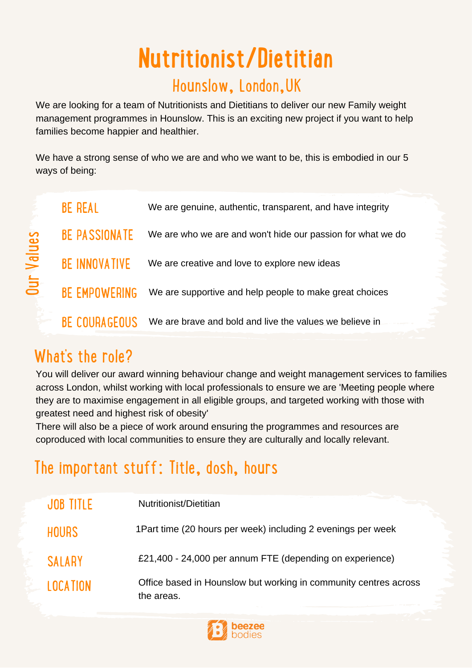# **Nutritionist/Dietitian**

#### Hounslow, London,UK

We are looking for a team of Nutritionists and Dietitians to deliver our new Family weight management programmes in Hounslow. This is an exciting new project if you want to help families become happier and healthier.

We have a strong sense of who we are and who we want to be, this is embodied in our 5 ways of being:

|               | <b>BE REAL</b>       | We are genuine, authentic, transparent, and have integrity  |
|---------------|----------------------|-------------------------------------------------------------|
| Values<br>Jur | <b>BE PASSIONATE</b> | We are who we are and won't hide our passion for what we do |
|               | <b>BE INNOVATIVE</b> | We are creative and love to explore new ideas               |
|               | <b>BE EMPOWERING</b> | We are supportive and help people to make great choices     |
|               | <b>BE COURAGEOUS</b> | We are brave and bold and live the values we believe in     |

# What's the role?

> You will deliver our award winning behaviour change and weight management services to families across London, whilst working with local professionals to ensure we are 'Meeting people where they are to maximise engagement in all eligible groups, and targeted working with those with greatest need and highest risk of obesity'

There will also be a piece of work around ensuring the programmes and resources are coproduced with local communities to ensure they are culturally and locally relevant.

# The important stuff: Title, dosh, hours

| JOB TITLE       | Nutritionist/Dietitian                                                         |
|-----------------|--------------------------------------------------------------------------------|
| <b>HOURS</b>    | 1 Part time (20 hours per week) including 2 evenings per week                  |
| <b>SALARY</b>   | £21,400 - 24,000 per annum FTE (depending on experience)                       |
| <b>LOCATION</b> | Office based in Hounslow but working in community centres across<br>the areas. |

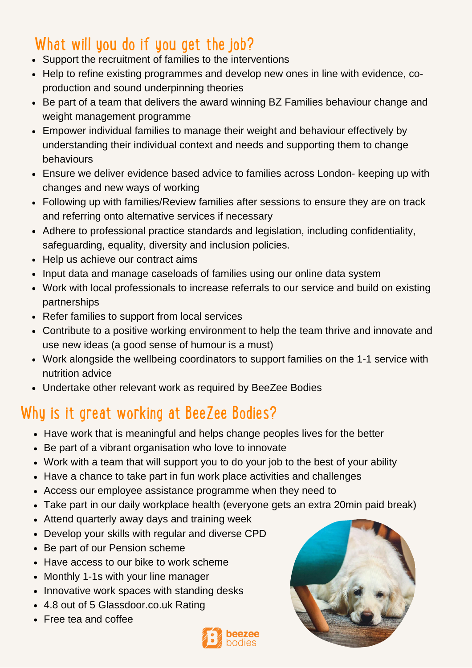## What will you do if you get the job?

- Support the recruitment of families to the interventions
- Help to refine existing programmes and develop new ones in line with evidence, coproduction and sound underpinning theories
- Be part of a team that delivers the award winning BZ Families behaviour change and weight management programme
- Empower individual families to manage their weight and behaviour effectively by understanding their individual context and needs and supporting them to change behaviours
- Ensure we deliver evidence based advice to families across London- keeping up with changes and new ways of working
- Following up with families/Review families after sessions to ensure they are on track and referring onto alternative services if necessary
- Adhere to professional practice standards and legislation, including confidentiality, safeguarding, equality, diversity and inclusion policies.
- Help us achieve our contract aims
- Input data and manage caseloads of families using our online data system
- Work with local professionals to increase referrals to our service and build on existing partnerships
- Refer families to support from local services
- Contribute to a positive working environment to help the team thrive and innovate and use new ideas (a good sense of humour is a must)
- Work alongside the wellbeing coordinators to support families on the 1-1 service with nutrition advice
- Undertake other relevant work as required by BeeZee Bodies

#### Why is it great working at BeeZee Bodies?

- Have work that is meaningful and helps change peoples lives for the better
- Be part of a vibrant organisation who love to innovate
- Work with a team that will support you to do your job to the best of your ability
- Have a chance to take part in fun work place activities and challenges
- Access our employee assistance programme when they need to
- Take part in our daily workplace health (everyone gets an extra 20min paid break)
- Attend quarterly away days and training week
- Develop your skills with regular and diverse CPD
- Be part of our Pension scheme
- Have access to our bike to work scheme
- Monthly 1-1s with your line manager
- Innovative work spaces with standing desks
- 4.8 out of 5 Glassdoor.co.uk Rating
- Free tea and coffee



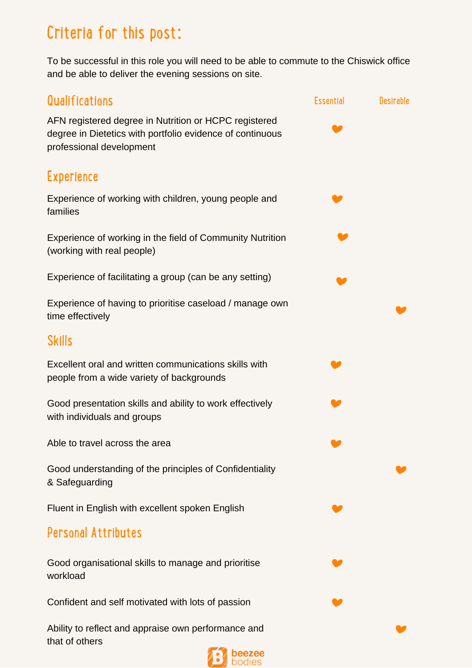## Criteria for this post:

To be successful in this role you will need to be able to commute to the Chiswick office and be able to deliver the evening sessions on site.



Confident and self motivated with lots of passion

Ability to reflect and appraise own performance and that of others